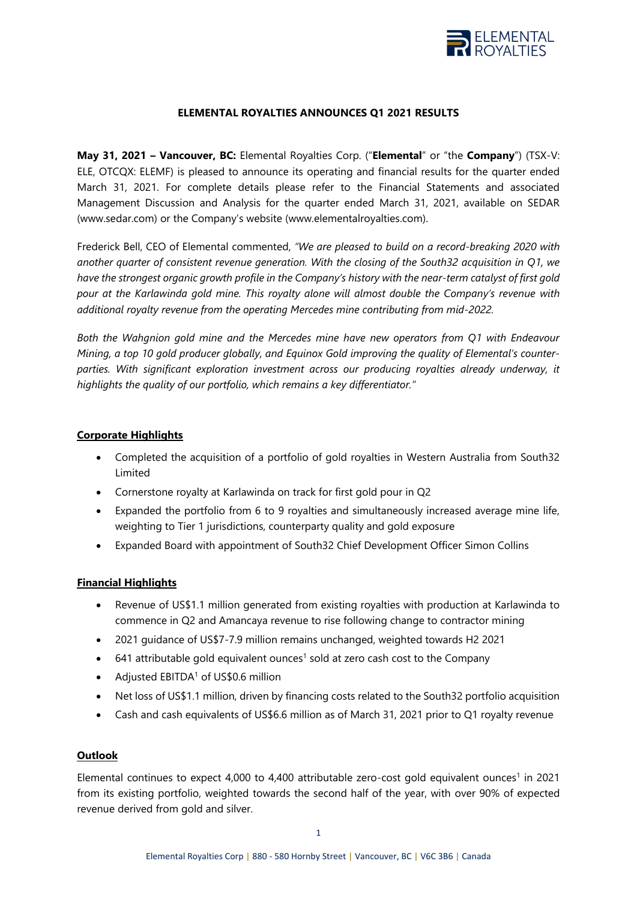

## **ELEMENTAL ROYALTIES ANNOUNCES Q1 2021 RESULTS**

**May 31, 2021 – Vancouver, BC:** Elemental Royalties Corp. ("**Elemental**" or "the **Company**") (TSX-V: ELE, OTCQX: ELEMF) is pleased to announce its operating and financial results for the quarter ended March 31, 2021. For complete details please refer to the Financial Statements and associated Management Discussion and Analysis for the quarter ended March 31, 2021, available on SEDAR (www.sedar.com) or the Company's website (www.elementalroyalties.com).

Frederick Bell, CEO of Elemental commented, *"We are pleased to build on a record-breaking 2020 with another quarter of consistent revenue generation. With the closing of the South32 acquisition in Q1, we have the strongest organic growth profile in the Company's history with the near-term catalyst of first gold pour at the Karlawinda gold mine. This royalty alone will almost double the Company's revenue with additional royalty revenue from the operating Mercedes mine contributing from mid-2022.*

*Both the Wahgnion gold mine and the Mercedes mine have new operators from Q1 with Endeavour Mining, a top 10 gold producer globally, and Equinox Gold improving the quality of Elemental's counterparties. With significant exploration investment across our producing royalties already underway, it highlights the quality of our portfolio, which remains a key differentiator."* 

### **Corporate Highlights**

- Completed the acquisition of a portfolio of gold royalties in Western Australia from South32 Limited
- Cornerstone royalty at Karlawinda on track for first gold pour in Q2
- Expanded the portfolio from 6 to 9 royalties and simultaneously increased average mine life, weighting to Tier 1 jurisdictions, counterparty quality and gold exposure
- Expanded Board with appointment of South32 Chief Development Officer Simon Collins

### **Financial Highlights**

- Revenue of US\$1.1 million generated from existing royalties with production at Karlawinda to commence in Q2 and Amancaya revenue to rise following change to contractor mining
- 2021 guidance of US\$7-7.9 million remains unchanged, weighted towards H2 2021
- $\bullet$  641 attributable gold equivalent ounces<sup>1</sup> sold at zero cash cost to the Company
- Adjusted  $EBITDA<sup>1</sup>$  of US\$0.6 million
- Net loss of US\$1.1 million, driven by financing costs related to the South32 portfolio acquisition
- Cash and cash equivalents of US\$6.6 million as of March 31, 2021 prior to Q1 royalty revenue

### **Outlook**

Elemental continues to expect  $4,000$  to  $4,400$  attributable zero-cost gold equivalent ounces<sup>1</sup> in 2021 from its existing portfolio, weighted towards the second half of the year, with over 90% of expected revenue derived from gold and silver.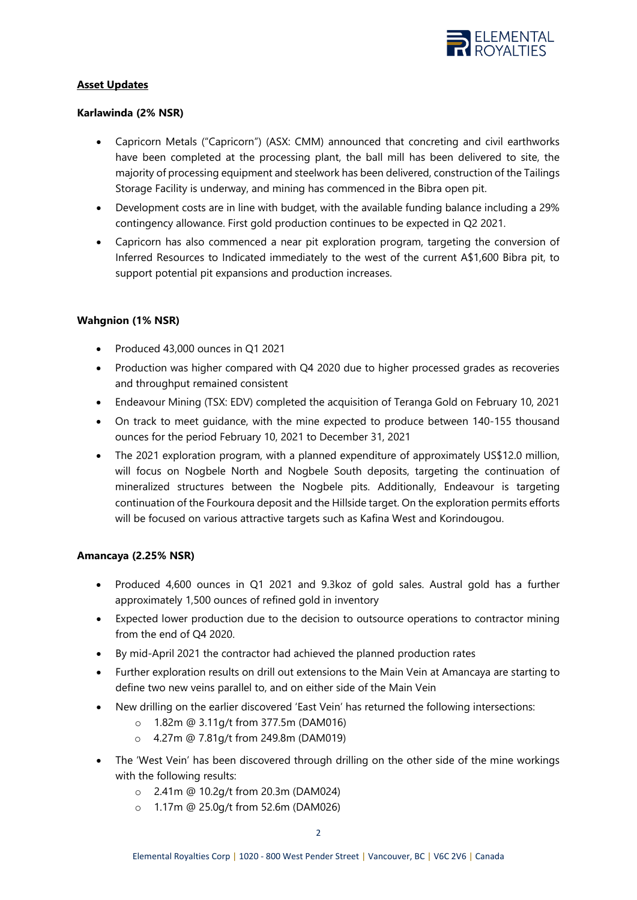

## **Asset Updates**

### **Karlawinda (2% NSR)**

- Capricorn Metals ("Capricorn") (ASX: CMM) announced that concreting and civil earthworks have been completed at the processing plant, the ball mill has been delivered to site, the majority of processing equipment and steelwork has been delivered, construction of the Tailings Storage Facility is underway, and mining has commenced in the Bibra open pit.
- Development costs are in line with budget, with the available funding balance including a 29% contingency allowance. First gold production continues to be expected in Q2 2021.
- Capricorn has also commenced a near pit exploration program, targeting the conversion of Inferred Resources to Indicated immediately to the west of the current A\$1,600 Bibra pit, to support potential pit expansions and production increases.

## **Wahgnion (1% NSR)**

- Produced 43,000 ounces in Q1 2021
- Production was higher compared with Q4 2020 due to higher processed grades as recoveries and throughput remained consistent
- Endeavour Mining (TSX: EDV) completed the acquisition of Teranga Gold on February 10, 2021
- On track to meet guidance, with the mine expected to produce between 140-155 thousand ounces for the period February 10, 2021 to December 31, 2021
- The 2021 exploration program, with a planned expenditure of approximately US\$12.0 million, will focus on Nogbele North and Nogbele South deposits, targeting the continuation of mineralized structures between the Nogbele pits. Additionally, Endeavour is targeting continuation of the Fourkoura deposit and the Hillside target. On the exploration permits efforts will be focused on various attractive targets such as Kafina West and Korindougou.

### **Amancaya (2.25% NSR)**

- Produced 4,600 ounces in Q1 2021 and 9.3koz of gold sales. Austral gold has a further approximately 1,500 ounces of refined gold in inventory
- Expected lower production due to the decision to outsource operations to contractor mining from the end of Q4 2020.
- By mid-April 2021 the contractor had achieved the planned production rates
- Further exploration results on drill out extensions to the Main Vein at Amancaya are starting to define two new veins parallel to, and on either side of the Main Vein
- New drilling on the earlier discovered 'East Vein' has returned the following intersections:
	- o 1.82m @ 3.11g/t from 377.5m (DAM016)
	- o 4.27m @ 7.81g/t from 249.8m (DAM019)
- The 'West Vein' has been discovered through drilling on the other side of the mine workings with the following results:
	- o 2.41m @ 10.2g/t from 20.3m (DAM024)
	- o 1.17m @ 25.0g/t from 52.6m (DAM026)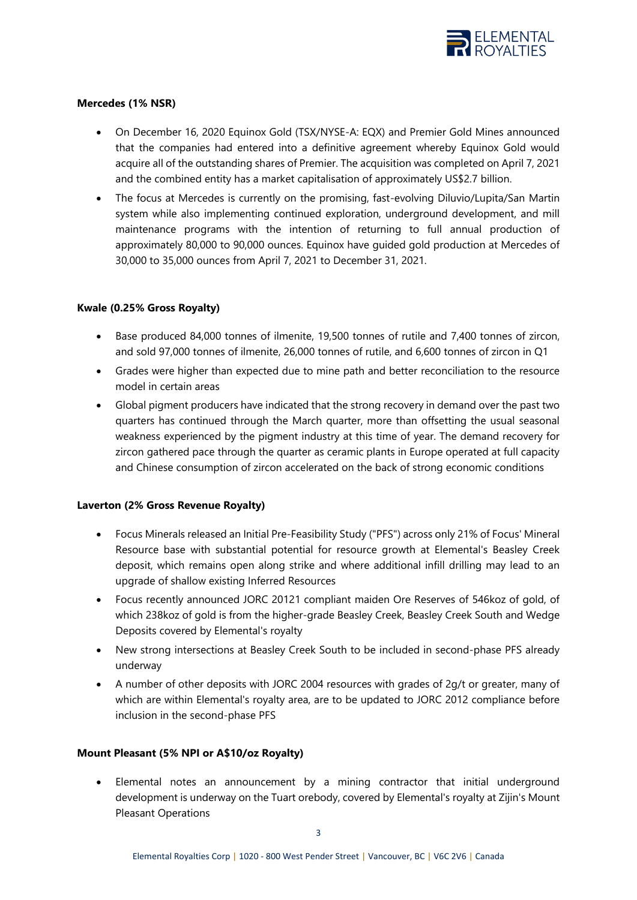

## **Mercedes (1% NSR)**

- On December 16, 2020 Equinox Gold (TSX/NYSE-A: EQX) and Premier Gold Mines announced that the companies had entered into a definitive agreement whereby Equinox Gold would acquire all of the outstanding shares of Premier. The acquisition was completed on April 7, 2021 and the combined entity has a market capitalisation of approximately US\$2.7 billion.
- The focus at Mercedes is currently on the promising, fast-evolving Diluvio/Lupita/San Martin system while also implementing continued exploration, underground development, and mill maintenance programs with the intention of returning to full annual production of approximately 80,000 to 90,000 ounces. Equinox have guided gold production at Mercedes of 30,000 to 35,000 ounces from April 7, 2021 to December 31, 2021.

## **Kwale (0.25% Gross Royalty)**

- Base produced 84,000 tonnes of ilmenite, 19,500 tonnes of rutile and 7,400 tonnes of zircon, and sold 97,000 tonnes of ilmenite, 26,000 tonnes of rutile, and 6,600 tonnes of zircon in Q1
- Grades were higher than expected due to mine path and better reconciliation to the resource model in certain areas
- Global pigment producers have indicated that the strong recovery in demand over the past two quarters has continued through the March quarter, more than offsetting the usual seasonal weakness experienced by the pigment industry at this time of year. The demand recovery for zircon gathered pace through the quarter as ceramic plants in Europe operated at full capacity and Chinese consumption of zircon accelerated on the back of strong economic conditions

### **Laverton (2% Gross Revenue Royalty)**

- Focus Minerals released an Initial Pre-Feasibility Study ("PFS") across only 21% of Focus' Mineral Resource base with substantial potential for resource growth at Elemental's Beasley Creek deposit, which remains open along strike and where additional infill drilling may lead to an upgrade of shallow existing Inferred Resources
- Focus recently announced JORC 20121 compliant maiden Ore Reserves of 546koz of gold, of which 238koz of gold is from the higher-grade Beasley Creek, Beasley Creek South and Wedge Deposits covered by Elemental's royalty
- New strong intersections at Beasley Creek South to be included in second-phase PFS already underway
- A number of other deposits with JORC 2004 resources with grades of 2g/t or greater, many of which are within Elemental's royalty area, are to be updated to JORC 2012 compliance before inclusion in the second-phase PFS

# **Mount Pleasant (5% NPI or A\$10/oz Royalty)**

• Elemental notes an announcement by a mining contractor that initial underground development is underway on the Tuart orebody, covered by Elemental's royalty at Zijin's Mount Pleasant Operations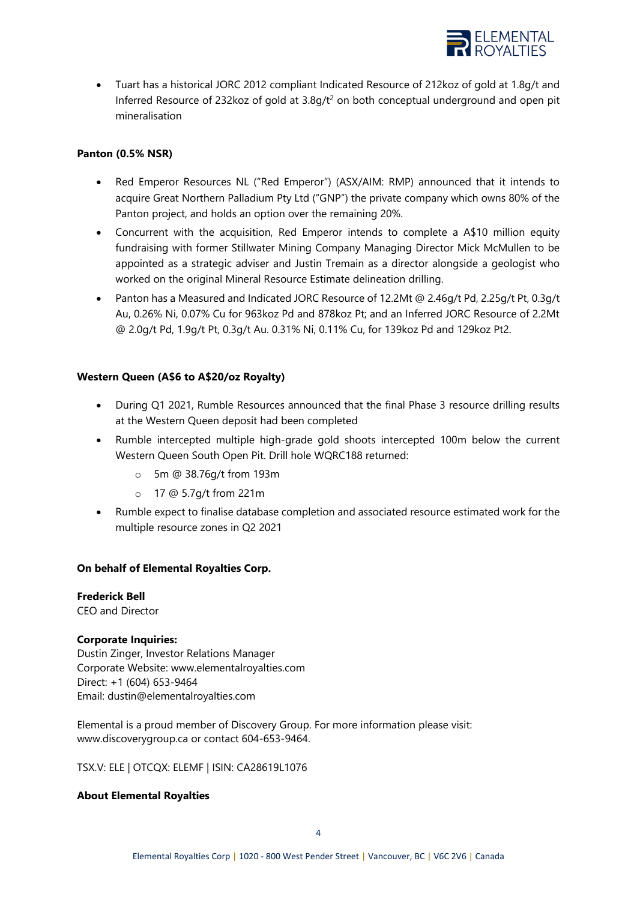

• Tuart has a historical JORC 2012 compliant Indicated Resource of 212koz of gold at 1.8g/t and Inferred Resource of 232koz of gold at  $3.8q/t^2$  on both conceptual underground and open pit mineralisation

### **Panton (0.5% NSR)**

- Red Emperor Resources NL ("Red Emperor") (ASX/AIM: RMP) announced that it intends to acquire Great Northern Palladium Pty Ltd ("GNP") the private company which owns 80% of the Panton project, and holds an option over the remaining 20%.
- Concurrent with the acquisition, Red Emperor intends to complete a A\$10 million equity fundraising with former Stillwater Mining Company Managing Director Mick McMullen to be appointed as a strategic adviser and Justin Tremain as a director alongside a geologist who worked on the original Mineral Resource Estimate delineation drilling.
- Panton has a Measured and Indicated JORC Resource of 12.2Mt @ 2.46g/t Pd, 2.25g/t Pt, 0.3g/t Au, 0.26% Ni, 0.07% Cu for 963koz Pd and 878koz Pt; and an Inferred JORC Resource of 2.2Mt @ 2.0g/t Pd, 1.9g/t Pt, 0.3g/t Au. 0.31% Ni, 0.11% Cu, for 139koz Pd and 129koz Pt2.

## **Western Queen (A\$6 to A\$20/oz Royalty)**

- During Q1 2021, Rumble Resources announced that the final Phase 3 resource drilling results at the Western Queen deposit had been completed
- Rumble intercepted multiple high-grade gold shoots intercepted 100m below the current Western Queen South Open Pit. Drill hole WQRC188 returned:
	- o 5m @ 38.76g/t from 193m
	- o 17 @ 5.7g/t from 221m
- Rumble expect to finalise database completion and associated resource estimated work for the multiple resource zones in Q2 2021

### **On behalf of Elemental Royalties Corp.**

# **Frederick Bell**

CEO and Director

### **Corporate Inquiries:**

Dustin Zinger, Investor Relations Manager Corporate Website: [www.elementalroyalties.com](http://www.elementalroyalties.com/) Direct: +1 (604) 653-9464 Email: [dustin@elementalroyalties.com](mailto:dustin@elementalroyalties.com)

Elemental is a proud member of Discovery Group. For more information please visit: [www.discoverygroup.ca](http://www.discoverygroup.ca/) or contact 604-653-9464.

TSX.V: ELE | OTCQX: ELEMF | ISIN: CA28619L1076

### **About Elemental Royalties**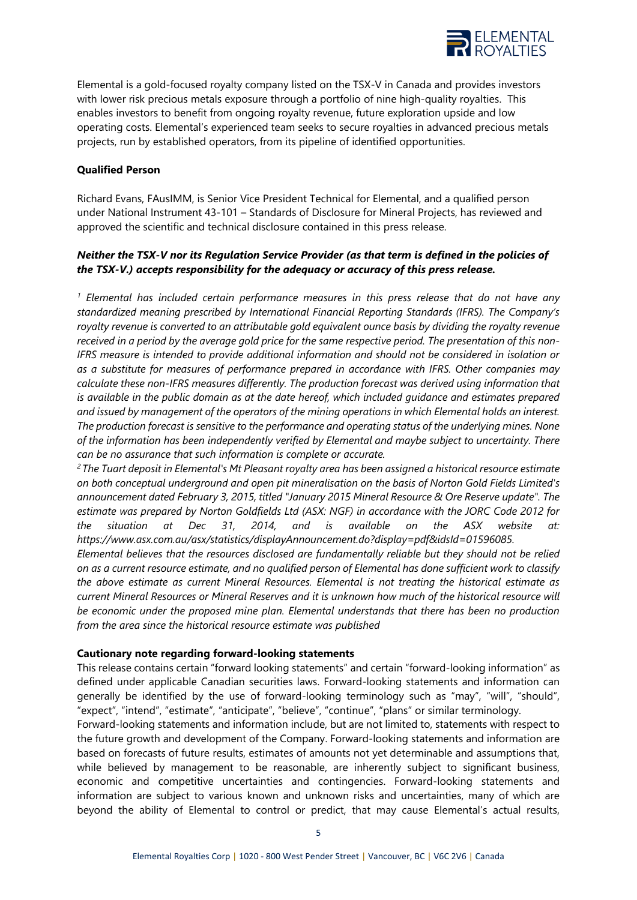

Elemental is a gold-focused royalty company listed on the TSX-V in Canada and provides investors with lower risk precious metals exposure through a portfolio of nine high-quality royalties. This enables investors to benefit from ongoing royalty revenue, future exploration upside and low operating costs. Elemental's experienced team seeks to secure royalties in advanced precious metals projects, run by established operators, from its pipeline of identified opportunities.

#### **Qualified Person**

Richard Evans, FAusIMM, is Senior Vice President Technical for Elemental, and a qualified person under National Instrument 43-101 – Standards of Disclosure for Mineral Projects, has reviewed and approved the scientific and technical disclosure contained in this press release.

### *Neither the TSX-V nor its Regulation Service Provider (as that term is defined in the policies of the TSX-V.) accepts responsibility for the adequacy or accuracy of this press release.*

*<sup>1</sup> Elemental has included certain performance measures in this press release that do not have any standardized meaning prescribed by International Financial Reporting Standards (IFRS). The Company's royalty revenue is converted to an attributable gold equivalent ounce basis by dividing the royalty revenue received in a period by the average gold price for the same respective period. The presentation of this non-IFRS measure is intended to provide additional information and should not be considered in isolation or as a substitute for measures of performance prepared in accordance with IFRS. Other companies may calculate these non-IFRS measures differently. The production forecast was derived using information that is available in the public domain as at the date hereof, which included guidance and estimates prepared and issued by management of the operators of the mining operations in which Elemental holds an interest. The production forecast is sensitive to the performance and operating status of the underlying mines. None of the information has been independently verified by Elemental and maybe subject to uncertainty. There can be no assurance that such information is complete or accurate.*

*<sup>2</sup>The Tuart deposit in Elemental's Mt Pleasant royalty area has been assigned a historical resource estimate on both conceptual underground and open pit mineralisation on the basis of Norton Gold Fields Limited's announcement dated February 3, 2015, titled "January 2015 Mineral Resource & Ore Reserve update". The estimate was prepared by Norton Goldfields Ltd (ASX: NGF) in accordance with the JORC Code 2012 for the situation at Dec 31, 2014, and is available on the ASX website at: [https://www.asx.com.au/asx/statistics/displayAnnouncement.do?display=pdf&idsId=01596085.](https://www.asx.com.au/asx/statistics/displayAnnouncement.do?display=pdf&idsId=01596085)* 

*Elemental believes that the resources disclosed are fundamentally reliable but they should not be relied on as a current resource estimate, and no qualified person of Elemental has done sufficient work to classify the above estimate as current Mineral Resources. Elemental is not treating the historical estimate as current Mineral Resources or Mineral Reserves and it is unknown how much of the historical resource will be economic under the proposed mine plan. Elemental understands that there has been no production from the area since the historical resource estimate was published*

#### **Cautionary note regarding forward-looking statements**

This release contains certain "forward looking statements" and certain "forward-looking information" as defined under applicable Canadian securities laws. Forward-looking statements and information can generally be identified by the use of forward-looking terminology such as "may", "will", "should", "expect", "intend", "estimate", "anticipate", "believe", "continue", "plans" or similar terminology.

Forward-looking statements and information include, but are not limited to, statements with respect to the future growth and development of the Company. Forward-looking statements and information are based on forecasts of future results, estimates of amounts not yet determinable and assumptions that, while believed by management to be reasonable, are inherently subject to significant business, economic and competitive uncertainties and contingencies. Forward-looking statements and information are subject to various known and unknown risks and uncertainties, many of which are beyond the ability of Elemental to control or predict, that may cause Elemental's actual results,